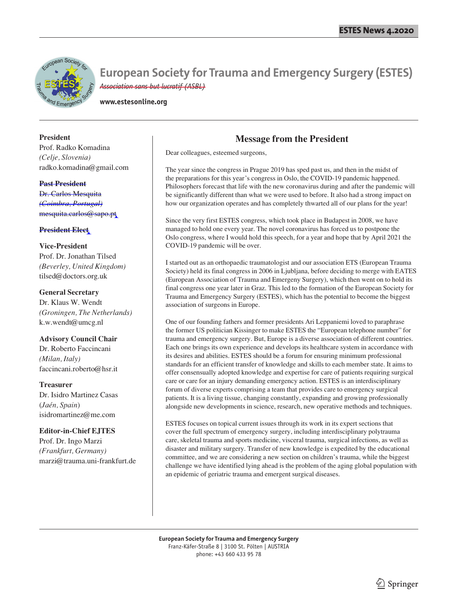

**European Society for Trauma and Emergency Surgery (ESTES)** *Association sans but lucratif (ASBL)*

**www.estesonline.org**

#### **President**

Prof. Radko Komadina *(Celje, Slovenia)* radko.komadina@gmail.com

**Past President** Dr. Carlos Mesquita *(Coimbra, Portugal)* mesquita.carlos@sapo.pt

#### **President Elect**

# **Vice-President** Prof. Dr. Jonathan Tilsed *(Beverley, United Kingdom)*

tilsed@doctors.org.uk

### **General Secretary**

Dr. Klaus W. Wendt *(Groningen, The Netherlands)* k.w.wendt@umcg.nl

#### **Advisory Council Chair**

Dr. Roberto Faccincani *(Milan, Italy)* faccincani.roberto@hsr.it

#### **Treasurer**

Dr. Isidro Martinez Casas (*Jaén, Spain*) isidromartinez@me.com

#### **Editor-in-Chief EJTES**

Prof. Dr. Ingo Marzi *(Frankfurt, Germany)* marzi@trauma.uni-frankfurt.de

# **Message from the President**

Dear colleagues, esteemed surgeons,

The year since the congress in Prague 2019 has sped past us, and then in the midst of the preparations for this year's congress in Oslo, the COVID-19 pandemic happened. Philosophers forecast that life with the new coronavirus during and after the pandemic will be significantly different than what we were used to before. It also had a strong impact on how our organization operates and has completely thwarted all of our plans for the year!

Since the very first ESTES congress, which took place in Budapest in 2008, we have managed to hold one every year. The novel coronavirus has forced us to postpone the Oslo congress, where I would hold this speech, for a year and hope that by April 2021 the COVID-19 pandemic will be over.

I started out as an orthopaedic traumatologist and our association ETS (European Trauma Society) held its final congress in 2006 in Ljubljana, before deciding to merge with EATES (European Association of Trauma and Emergeny Surgery), which then went on to hold its final congress one year later in Graz. This led to the formation of the European Society for Trauma and Emergency Surgery (ESTES), which has the potential to become the biggest association of surgeons in Europe.

One of our founding fathers and former presidents Ari Leppaniemi loved to paraphrase the former US politician Kissinger to make ESTES the "European telephone number" for trauma and emergency surgery. But, Europe is a diverse association of different countries. Each one brings its own experience and develops its healthcare system in accordance with its desires and abilities. ESTES should be a forum for ensuring minimum professional standards for an efficient transfer of knowledge and skills to each member state. It aims to offer consensually adopted knowledge and expertise for care of patients requiring surgical care or care for an injury demanding emergency action. ESTES is an interdisciplinary forum of diverse experts comprising a team that provides care to emergency surgical patients. It is a living tissue, changing constantly, expanding and growing professionally alongside new developments in science, research, new operative methods and techniques.

ESTES focuses on topical current issues through its work in its expert sections that cover the full spectrum of emergency surgery, including interdisciplinary polytrauma care, skeletal trauma and sports medicine, visceral trauma, surgical infections, as well as disaster and military surgery. Transfer of new knowledge is expedited by the educational committee, and we are considering a new section on children's trauma, while the biggest challenge we have identified lying ahead is the problem of the aging global population with an epidemic of geriatric trauma and emergent surgical diseases.

**European Society for Trauma and Emergency Surgery** Franz-Käfer-Straße 8 | 3100 St. Pölten | AUSTRIA phone: +43 660 433 95 78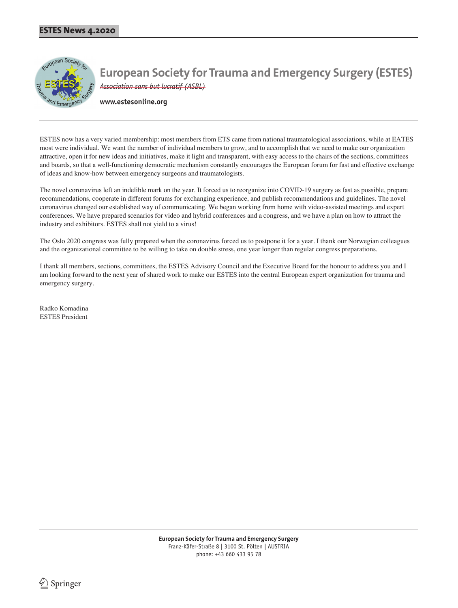

**European Society for Trauma and Emergency Surgery (ESTES)** *Association sans but lucratif (ASBL)*

**www.estesonline.org**

ESTES now has a very varied membership: most members from ETS came from national traumatological associations, while at EATES most were individual. We want the number of individual members to grow, and to accomplish that we need to make our organization attractive, open it for new ideas and initiatives, make it light and transparent, with easy access to the chairs of the sections, committees and boards, so that a well-functioning democratic mechanism constantly encourages the European forum for fast and effective exchange of ideas and know-how between emergency surgeons and traumatologists.

The novel coronavirus left an indelible mark on the year. It forced us to reorganize into COVID-19 surgery as fast as possible, prepare recommendations, cooperate in different forums for exchanging experience, and publish recommendations and guidelines. The novel coronavirus changed our established way of communicating. We began working from home with video-assisted meetings and expert conferences. We have prepared scenarios for video and hybrid conferences and a congress, and we have a plan on how to attract the industry and exhibitors. ESTES shall not yield to a virus!

The Oslo 2020 congress was fully prepared when the coronavirus forced us to postpone it for a year. I thank our Norwegian colleagues and the organizational committee to be willing to take on double stress, one year longer than regular congress preparations.

I thank all members, sections, committees, the ESTES Advisory Council and the Executive Board for the honour to address you and I am looking forward to the next year of shared work to make our ESTES into the central European expert organization for trauma and emergency surgery.

Radko Komadina ESTES President